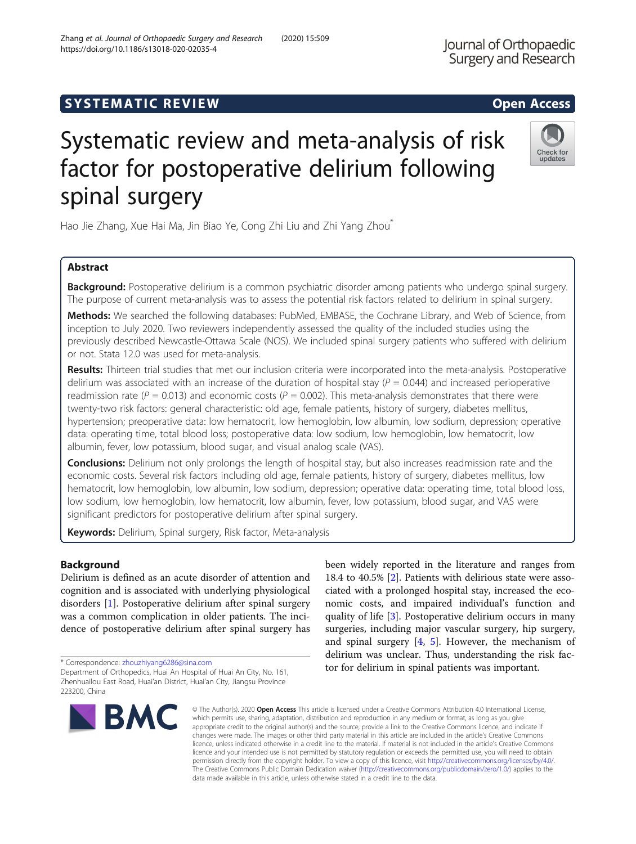# **SYSTEMATIC REVIEW ACCESS**

# Systematic review and meta-analysis of risk factor for postoperative delirium following spinal surgery

Hao Jie Zhang, Xue Hai Ma, Jin Biao Ye, Cong Zhi Liu and Zhi Yang Zhou<sup>\*</sup>

# Abstract

Background: Postoperative delirium is a common psychiatric disorder among patients who undergo spinal surgery. The purpose of current meta-analysis was to assess the potential risk factors related to delirium in spinal surgery.

Methods: We searched the following databases: PubMed, EMBASE, the Cochrane Library, and Web of Science, from inception to July 2020. Two reviewers independently assessed the quality of the included studies using the previously described Newcastle-Ottawa Scale (NOS). We included spinal surgery patients who suffered with delirium or not. Stata 12.0 was used for meta-analysis.

Results: Thirteen trial studies that met our inclusion criteria were incorporated into the meta-analysis. Postoperative delirium was associated with an increase of the duration of hospital stay ( $P = 0.044$ ) and increased perioperative readmission rate ( $P = 0.013$ ) and economic costs ( $P = 0.002$ ). This meta-analysis demonstrates that there were twenty-two risk factors: general characteristic: old age, female patients, history of surgery, diabetes mellitus, hypertension; preoperative data: low hematocrit, low hemoglobin, low albumin, low sodium, depression; operative data: operating time, total blood loss; postoperative data: low sodium, low hemoglobin, low hematocrit, low albumin, fever, low potassium, blood sugar, and visual analog scale (VAS).

**Conclusions:** Delirium not only prolongs the length of hospital stay, but also increases readmission rate and the economic costs. Several risk factors including old age, female patients, history of surgery, diabetes mellitus, low hematocrit, low hemoglobin, low albumin, low sodium, depression; operative data: operating time, total blood loss, low sodium, low hemoglobin, low hematocrit, low albumin, fever, low potassium, blood sugar, and VAS were significant predictors for postoperative delirium after spinal surgery.

Keywords: Delirium, Spinal surgery, Risk factor, Meta-analysis

# Background

Delirium is defined as an acute disorder of attention and cognition and is associated with underlying physiological disorders [[1\]](#page-6-0). Postoperative delirium after spinal surgery was a common complication in older patients. The incidence of postoperative delirium after spinal surgery has

\* Correspondence: [zhouzhiyang6286@sina.com](mailto:zhouzhiyang6286@sina.com)

**BMC** 

18.4 to 40.5% [[2\]](#page-6-0). Patients with delirious state were associated with a prolonged hospital stay, increased the economic costs, and impaired individual's function and quality of life [[3](#page-6-0)]. Postoperative delirium occurs in many surgeries, including major vascular surgery, hip surgery, and spinal surgery  $[4, 5]$  $[4, 5]$  $[4, 5]$ . However, the mechanism of delirium was unclear. Thus, understanding the risk factor for delirium in spinal patients was important.

been widely reported in the literature and ranges from

© The Author(s), 2020 **Open Access** This article is licensed under a Creative Commons Attribution 4.0 International License, which permits use, sharing, adaptation, distribution and reproduction in any medium or format, as long as you give appropriate credit to the original author(s) and the source, provide a link to the Creative Commons licence, and indicate if changes were made. The images or other third party material in this article are included in the article's Creative Commons licence, unless indicated otherwise in a credit line to the material. If material is not included in the article's Creative Commons licence and your intended use is not permitted by statutory regulation or exceeds the permitted use, you will need to obtain permission directly from the copyright holder. To view a copy of this licence, visit [http://creativecommons.org/licenses/by/4.0/.](http://creativecommons.org/licenses/by/4.0/) The Creative Commons Public Domain Dedication waiver [\(http://creativecommons.org/publicdomain/zero/1.0/](http://creativecommons.org/publicdomain/zero/1.0/)) applies to the data made available in this article, unless otherwise stated in a credit line to the data.





Department of Orthopedics, Huai An Hospital of Huai An City, No. 161, Zhenhuailou East Road, Huai'an District, Huai'an City, Jiangsu Province 223200, China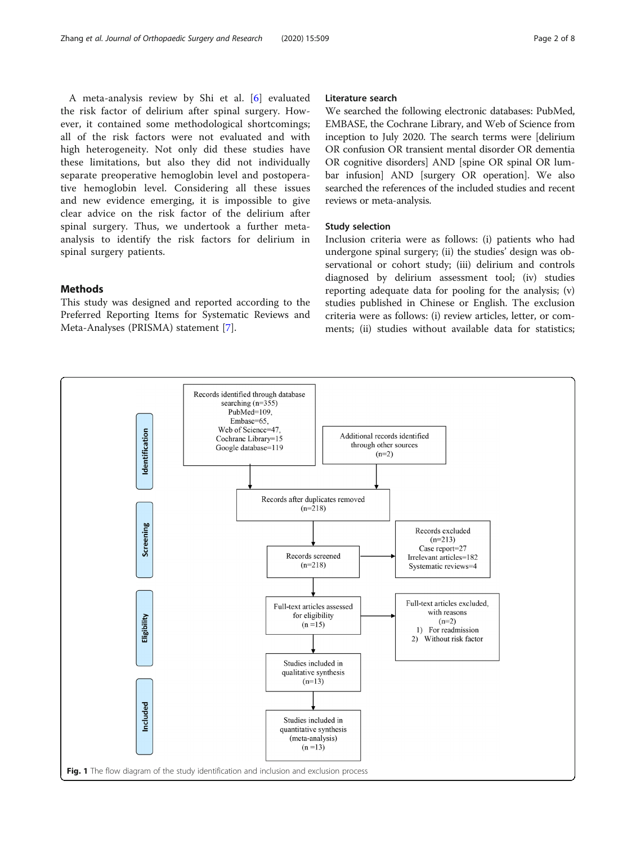<span id="page-1-0"></span>A meta-analysis review by Shi et al. [[6\]](#page-6-0) evaluated the risk factor of delirium after spinal surgery. However, it contained some methodological shortcomings; all of the risk factors were not evaluated and with high heterogeneity. Not only did these studies have these limitations, but also they did not individually separate preoperative hemoglobin level and postoperative hemoglobin level. Considering all these issues and new evidence emerging, it is impossible to give clear advice on the risk factor of the delirium after spinal surgery. Thus, we undertook a further metaanalysis to identify the risk factors for delirium in spinal surgery patients.

# Methods

This study was designed and reported according to the Preferred Reporting Items for Systematic Reviews and Meta-Analyses (PRISMA) statement [\[7](#page-7-0)].

# Literature search

We searched the following electronic databases: PubMed, EMBASE, the Cochrane Library, and Web of Science from inception to July 2020. The search terms were [delirium OR confusion OR transient mental disorder OR dementia OR cognitive disorders] AND [spine OR spinal OR lumbar infusion] AND [surgery OR operation]. We also searched the references of the included studies and recent reviews or meta-analysis.

#### Study selection

Inclusion criteria were as follows: (i) patients who had undergone spinal surgery; (ii) the studies' design was observational or cohort study; (iii) delirium and controls diagnosed by delirium assessment tool; (iv) studies reporting adequate data for pooling for the analysis; (v) studies published in Chinese or English. The exclusion criteria were as follows: (i) review articles, letter, or comments; (ii) studies without available data for statistics;

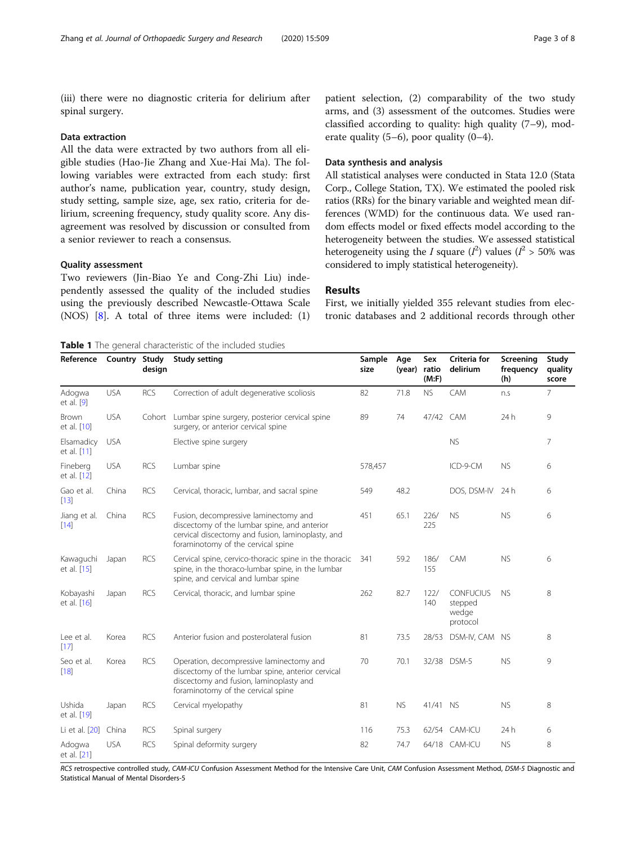<span id="page-2-0"></span>(iii) there were no diagnostic criteria for delirium after spinal surgery.

#### Data extraction

All the data were extracted by two authors from all eligible studies (Hao-Jie Zhang and Xue-Hai Ma). The following variables were extracted from each study: first author's name, publication year, country, study design, study setting, sample size, age, sex ratio, criteria for delirium, screening frequency, study quality score. Any disagreement was resolved by discussion or consulted from a senior reviewer to reach a consensus.

# Quality assessment

Two reviewers (Jin-Biao Ye and Cong-Zhi Liu) independently assessed the quality of the included studies using the previously described Newcastle-Ottawa Scale (NOS) [[8\]](#page-7-0). A total of three items were included: (1)

Table 1 The general characteristic of the included studies

patient selection, (2) comparability of the two study arms, and (3) assessment of the outcomes. Studies were classified according to quality: high quality (7–9), moderate quality  $(5-6)$ , poor quality  $(0-4)$ .

# Data synthesis and analysis

All statistical analyses were conducted in Stata 12.0 (Stata Corp., College Station, TX). We estimated the pooled risk ratios (RRs) for the binary variable and weighted mean differences (WMD) for the continuous data. We used random effects model or fixed effects model according to the heterogeneity between the studies. We assessed statistical heterogeneity using the *I* square  $(I^2)$  values  $(I^2 > 50\%$  was considered to imply statistical heterogeneity).

# Results

First, we initially yielded 355 relevant studies from electronic databases and 2 additional records through other

| Reference                   | Country Study | design     | <b>Study setting</b>                                                                                                                                                             | Sample<br>size | Age<br>(year) | Sex<br>ratio<br>(M: F) | Criteria for<br>delirium                  | Screening<br>frequency<br>(h) | Study<br>quality<br>score |
|-----------------------------|---------------|------------|----------------------------------------------------------------------------------------------------------------------------------------------------------------------------------|----------------|---------------|------------------------|-------------------------------------------|-------------------------------|---------------------------|
| Adogwa<br>et al. $[9]$      | <b>USA</b>    | <b>RCS</b> | Correction of adult degenerative scoliosis                                                                                                                                       | 82             | 71.8          | <b>NS</b>              | CAM                                       | n.s                           | 7                         |
| <b>Brown</b><br>et al. [10] | <b>USA</b>    |            | Cohort Lumbar spine surgery, posterior cervical spine<br>surgery, or anterior cervical spine                                                                                     | 89             | 74            | 47/42 CAM              |                                           | 24h                           | 9                         |
| Elsamadicy<br>et al. [11]   | <b>USA</b>    |            | Elective spine surgery                                                                                                                                                           |                |               |                        | <b>NS</b>                                 |                               | 7                         |
| Fineberg<br>et al. [12]     | <b>USA</b>    | <b>RCS</b> | Lumbar spine                                                                                                                                                                     | 578,457        |               |                        | ICD-9-CM                                  | <b>NS</b>                     | 6                         |
| Gao et al.<br>[13]          | China         | <b>RCS</b> | Cervical, thoracic, lumbar, and sacral spine                                                                                                                                     | 549            | 48.2          |                        | DOS, DSM-IV                               | 24 h                          | 6                         |
| Jiang et al.<br>[14]        | China         | <b>RCS</b> | Fusion, decompressive laminectomy and<br>discectomy of the lumbar spine, and anterior<br>cervical discectomy and fusion, laminoplasty, and<br>foraminotomy of the cervical spine | 451            | 65.1          | 226/<br>225            | <b>NS</b>                                 | <b>NS</b>                     | 6                         |
| Kawaguchi<br>et al. [15]    | Japan         | <b>RCS</b> | Cervical spine, cervico-thoracic spine in the thoracic<br>spine, in the thoraco-lumbar spine, in the lumbar<br>spine, and cervical and lumbar spine                              | 341            | 59.2          | 186/<br>155            | CAM                                       | <b>NS</b>                     | 6                         |
| Kobayashi<br>et al. [16]    | Japan         | <b>RCS</b> | Cervical, thoracic, and lumbar spine                                                                                                                                             | 262            | 82.7          | 122/<br>140            | CONFUCIUS<br>stepped<br>wedge<br>protocol | <b>NS</b>                     | 8                         |
| Lee et al.<br>[17]          | Korea         | <b>RCS</b> | Anterior fusion and posterolateral fusion                                                                                                                                        | 81             | 73.5          | 28/53                  | DSM-IV, CAM NS                            |                               | 8                         |
| Seo et al.<br>[18]          | Korea         | <b>RCS</b> | Operation, decompressive laminectomy and<br>discectomy of the lumbar spine, anterior cervical<br>discectomy and fusion, laminoplasty and<br>foraminotomy of the cervical spine   | 70             | 70.1          |                        | 32/38 DSM-5                               | <b>NS</b>                     | 9                         |
| Ushida<br>et al. [19]       | Japan         | <b>RCS</b> | Cervical myelopathy                                                                                                                                                              | 81             | <b>NS</b>     | 41/41 NS               |                                           | <b>NS</b>                     | 8                         |
| Li et al. [20]              | China         | <b>RCS</b> | Spinal surgery                                                                                                                                                                   | 116            | 75.3          |                        | 62/54 CAM-ICU                             | 24h                           | 6                         |
| Adogwa<br>et al. [21]       | <b>USA</b>    | <b>RCS</b> | Spinal deformity surgery                                                                                                                                                         | 82             | 74.7          |                        | 64/18 CAM-ICU                             | <b>NS</b>                     | 8                         |

RCS retrospective controlled study, CAM-ICU Confusion Assessment Method for the Intensive Care Unit, CAM Confusion Assessment Method, DSM-5 Diagnostic and Statistical Manual of Mental Disorders-5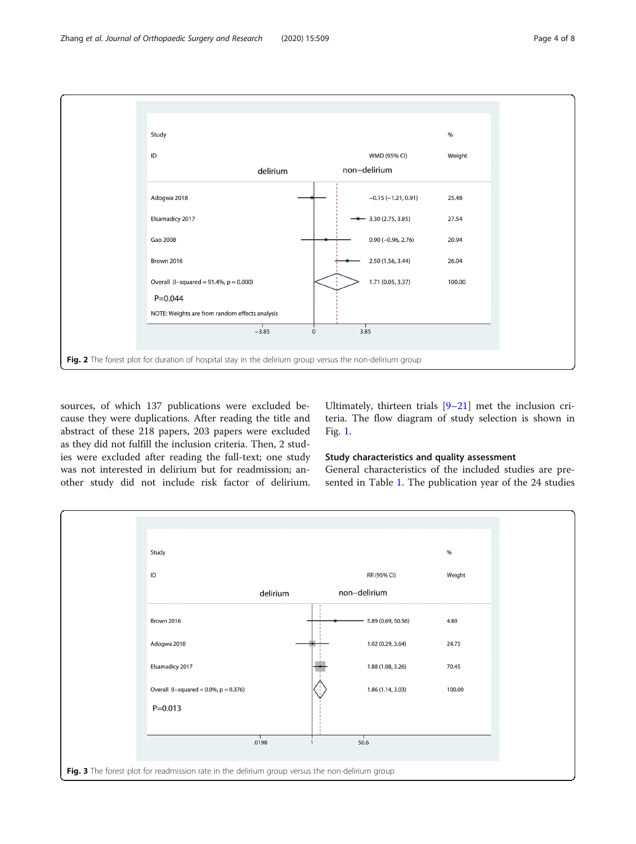<span id="page-3-0"></span>

sources, of which 137 publications were excluded because they were duplications. After reading the title and abstract of these 218 papers, 203 papers were excluded as they did not fulfill the inclusion criteria. Then, 2 studies were excluded after reading the full-text; one study was not interested in delirium but for readmission; another study did not include risk factor of delirium.

Ultimately, thirteen trials [[9](#page-7-0)–[21](#page-7-0)] met the inclusion criteria. The flow diagram of study selection is shown in Fig. [1](#page-1-0).

# Study characteristics and quality assessment

General characteristics of the included studies are presented in Table [1](#page-2-0). The publication year of the 24 studies

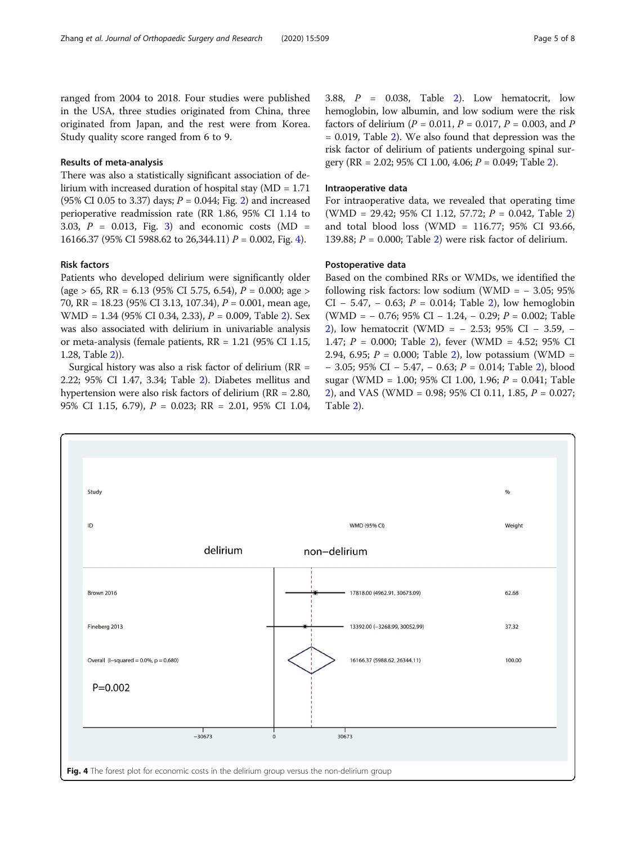ranged from 2004 to 2018. Four studies were published in the USA, three studies originated from China, three originated from Japan, and the rest were from Korea. Study quality score ranged from 6 to 9.

#### Results of meta-analysis

There was also a statistically significant association of delirium with increased duration of hospital stay (MD = 1.71 (95% CI 0.05 to 3.37) days;  $P = 0.044$ ; Fig. [2\)](#page-3-0) and increased perioperative readmission rate (RR 1.86, 95% CI 1.14 to 3.03,  $P = 0.013$ , Fig. [3\)](#page-3-0) and economic costs (MD = 16166.37 (95% CI 5988.62 to 26,344.11)  $P = 0.002$ , Fig. 4).

#### Risk factors

Patients who developed delirium were significantly older  $(age > 65, RR = 6.13 (95\% CI 5.75, 6.54), P = 0.000; age >$ 70, RR = 18.23 (95% CI 3.13, 107.34), P = 0.001, mean age, WMD = 1.34 (95% CI 0.34, 2.33), P = 0.009, Table [2](#page-5-0)). Sex was also associated with delirium in univariable analysis or meta-analysis (female patients, RR = 1.21 (95% CI 1.15, 1.28, Table [2\)](#page-5-0)).

Surgical history was also a risk factor of delirium (RR = 2.22; 95% CI 1.47, 3.34; Table [2\)](#page-5-0). Diabetes mellitus and hypertension were also risk factors of delirium (RR = 2.80, 95% CI 1.15, 6.79), P = 0.023; RR = 2.01, 95% CI 1.04, 3.88,  $P = 0.038$ , Table [2\)](#page-5-0). Low hematocrit, low hemoglobin, low albumin, and low sodium were the risk factors of delirium ( $P = 0.011$ ,  $P = 0.017$ ,  $P = 0.003$ , and P  $= 0.019$ , Table [2](#page-5-0)). We also found that depression was the risk factor of delirium of patients undergoing spinal surgery (RR = 2.02; 95% CI 1.00, 4.06;  $P = 0.049$ ; Table [2\)](#page-5-0).

#### Intraoperative data

For intraoperative data, we revealed that operating time (WMD = [2](#page-5-0)9.42; 95% CI 1.12, 57.72;  $P = 0.042$ , Table 2) and total blood loss (WMD = 116.77; 95% CI 93.66, 139.88;  $P = 0.000$ ; Table [2](#page-5-0)) were risk factor of delirium.

## Postoperative data

Based on the combined RRs or WMDs, we identified the following risk factors: low sodium (WMD =  $-3.05$ ; 95% CI – 5.47, – 0.63;  $P = 0.014$ ; Table [2](#page-5-0)), low hemoglobin (WMD = − 0.76; 95% CI − 1.24, − 0.29; P = 0.002; Table [2\)](#page-5-0), low hematocrit (WMD = − 2.53; 95% CI − 3.59, − 1.47;  $P = 0.000$ ; Table [2\)](#page-5-0), fever (WMD = 4.52; 95% CI 2.94, 6.95;  $P = 0.000$ ; Table [2\)](#page-5-0), low potassium (WMD = − 3.05; 95% CI − 5.47, − 0.63; P = 0.014; Table [2\)](#page-5-0), blood sugar (WMD = 1.00; 95% CI 1.00, 1.96; P = 0.041; Table [2\)](#page-5-0), and VAS (WMD = 0.98; 95% CI 0.11, 1.85, P = 0.027; Table [2\)](#page-5-0).

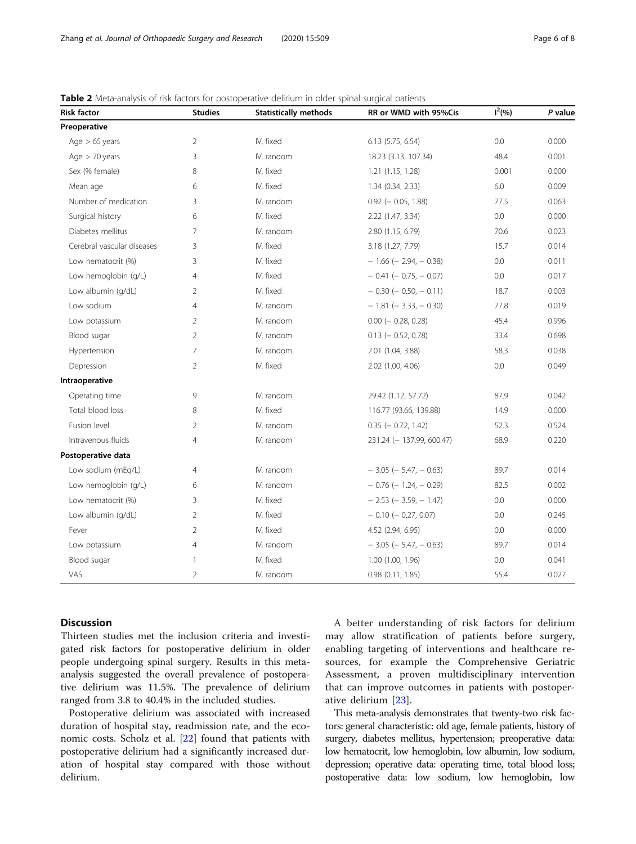| <b>Risk factor</b>         | <b>Studies</b> | <b>Statistically methods</b> | RR or WMD with 95%Cis         | $1^2$ (%) | P value |  |
|----------------------------|----------------|------------------------------|-------------------------------|-----------|---------|--|
| Preoperative               |                |                              |                               |           |         |  |
| Age $> 65$ years           | $\overline{2}$ | IV, fixed                    | $6.13$ $(5.75, 6.54)$         | 0.0       | 0.000   |  |
| Age $>$ 70 years           | 3              | IV, random                   | 18.23 (3.13, 107.34)          | 48.4      | 0.001   |  |
| Sex (% female)             | 8              | IV, fixed                    | 1.21 (1.15, 1.28)             | 0.001     | 0.000   |  |
| Mean age                   | 6              | IV, fixed                    | 1.34 (0.34, 2.33)             | 6.0       | 0.009   |  |
| Number of medication       | 3              | IV, random                   | $0.92$ ( $-0.05, 1.88$ )      | 77.5      | 0.063   |  |
| Surgical history           | 6              | IV, fixed                    | 2.22 (1.47, 3.34)             | 0.0       | 0.000   |  |
| Diabetes mellitus          | 7              | IV, random                   | 2.80 (1.15, 6.79)             | 70.6      | 0.023   |  |
| Cerebral vascular diseases | 3              | IV, fixed                    | 3.18 (1.27, 7.79)             | 15.7      | 0.014   |  |
| Low hematocrit (%)         | 3              | IV, fixed                    | $-1.66$ ( $-2.94$ , $-0.38$ ) | 0.0       | 0.011   |  |
| Low hemoglobin (g/L)       | $\overline{4}$ | IV, fixed                    | $-0.41$ ( $-0.75$ , $-0.07$ ) | 0.0       | 0.017   |  |
| Low albumin (g/dL)         | $\overline{2}$ | IV, fixed                    | $-0.30$ ( $-0.50$ , $-0.11$ ) | 18.7      | 0.003   |  |
| Low sodium                 | $\overline{4}$ | IV, random                   | $-1.81$ ( $-3.33$ , $-0.30$ ) | 77.8      | 0.019   |  |
| Low potassium              | $\overline{2}$ | IV, random                   | $0.00$ ( $-0.28, 0.28$ )      | 45.4      | 0.996   |  |
| Blood sugar                | $\overline{2}$ | IV, random                   | $0.13$ (- 0.52, 0.78)         | 33.4      | 0.698   |  |
| Hypertension               | $\overline{7}$ | IV, random                   | 2.01 (1.04, 3.88)             | 58.3      | 0.038   |  |
| Depression                 | $\overline{2}$ | IV, fixed                    | 2.02 (1.00, 4.06)             | 0.0       | 0.049   |  |
| Intraoperative             |                |                              |                               |           |         |  |
| Operating time             | 9              | IV, random                   | 29.42 (1.12, 57.72)           | 87.9      | 0.042   |  |
| Total blood loss           | 8              | IV, fixed                    | 116.77 (93.66, 139.88)        | 14.9      | 0.000   |  |
| Fusion level               | $\overline{2}$ | IV, random                   | $0.35$ (- 0.72, 1.42)         | 52.3      | 0.524   |  |
| Intravenous fluids         | 4              | IV, random                   | 231.24 (-137.99, 600.47)      | 68.9      | 0.220   |  |
| Postoperative data         |                |                              |                               |           |         |  |
| Low sodium (mEq/L)         | 4              | IV, random                   | $-3.05$ ( $-5.47$ , $-0.63$ ) | 89.7      | 0.014   |  |
| Low hemoglobin (g/L)<br>6  |                | IV, random                   | $-0.76$ ( $-1.24$ , $-0.29$ ) | 82.5      | 0.002   |  |
| Low hematocrit (%)         | 3              | IV, fixed                    | $-2.53$ ( $-3.59$ , $-1.47$ ) | 0.0       | 0.000   |  |
| Low albumin (g/dL)         | $\overline{2}$ | IV, fixed                    | $-0.10$ ( $-0.27, 0.07$ )     | 0.0       | 0.245   |  |
| Fever                      | 2              | IV, fixed                    | 4.52 (2.94, 6.95)             | 0.0       | 0.000   |  |
| Low potassium              | $\overline{4}$ | IV, random                   | $-3.05$ ( $-5.47$ , $-0.63$ ) | 89.7      | 0.014   |  |
| Blood sugar                | $\mathbf{1}$   | IV, fixed                    | 1.00 (1.00, 1.96)             | 0.0       | 0.041   |  |
| VAS                        | 2              | IV, random                   | 0.98(0.11, 1.85)              | 55.4      | 0.027   |  |

# <span id="page-5-0"></span>Table 2 Meta-analysis of risk factors for postoperative delirium in older spinal surgical patients

Discussion

Thirteen studies met the inclusion criteria and investigated risk factors for postoperative delirium in older people undergoing spinal surgery. Results in this metaanalysis suggested the overall prevalence of postoperative delirium was 11.5%. The prevalence of delirium ranged from 3.8 to 40.4% in the included studies.

Postoperative delirium was associated with increased duration of hospital stay, readmission rate, and the economic costs. Scholz et al. [\[22](#page-7-0)] found that patients with postoperative delirium had a significantly increased duration of hospital stay compared with those without delirium.

A better understanding of risk factors for delirium may allow stratification of patients before surgery, enabling targeting of interventions and healthcare resources, for example the Comprehensive Geriatric Assessment, a proven multidisciplinary intervention that can improve outcomes in patients with postoperative delirium [\[23](#page-7-0)].

This meta-analysis demonstrates that twenty-two risk factors: general characteristic: old age, female patients, history of surgery, diabetes mellitus, hypertension; preoperative data: low hematocrit, low hemoglobin, low albumin, low sodium, depression; operative data: operating time, total blood loss; postoperative data: low sodium, low hemoglobin, low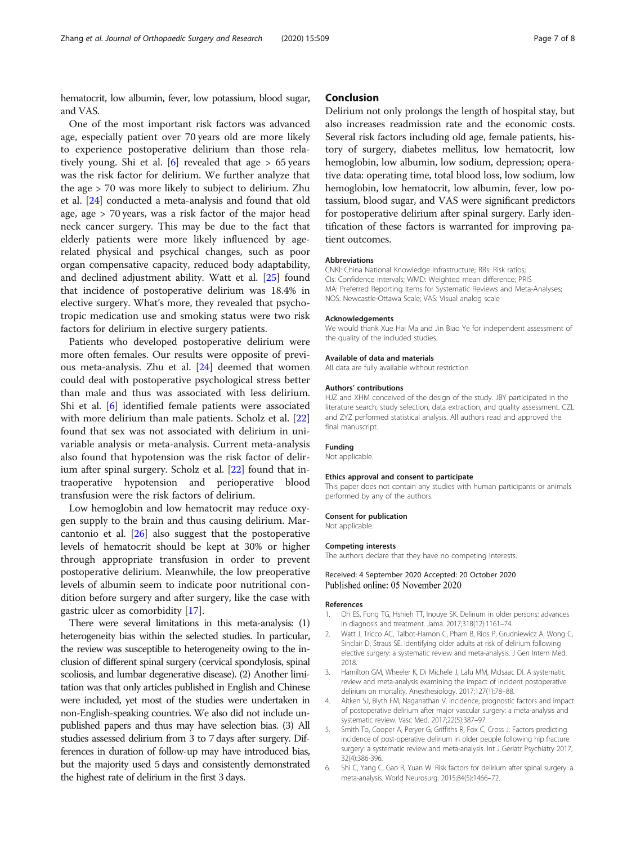<span id="page-6-0"></span>hematocrit, low albumin, fever, low potassium, blood sugar, and VAS.

One of the most important risk factors was advanced age, especially patient over 70 years old are more likely to experience postoperative delirium than those relatively young. Shi et al.  $[6]$  revealed that age  $> 65$  years was the risk factor for delirium. We further analyze that the age > 70 was more likely to subject to delirium. Zhu et al. [\[24](#page-7-0)] conducted a meta-analysis and found that old age, age > 70 years, was a risk factor of the major head neck cancer surgery. This may be due to the fact that elderly patients were more likely influenced by agerelated physical and psychical changes, such as poor organ compensative capacity, reduced body adaptability, and declined adjustment ability. Watt et al. [\[25](#page-7-0)] found that incidence of postoperative delirium was 18.4% in elective surgery. What's more, they revealed that psychotropic medication use and smoking status were two risk factors for delirium in elective surgery patients.

Patients who developed postoperative delirium were more often females. Our results were opposite of previous meta-analysis. Zhu et al. [[24](#page-7-0)] deemed that women could deal with postoperative psychological stress better than male and thus was associated with less delirium. Shi et al. [6] identified female patients were associated with more delirium than male patients. Scholz et al. [[22](#page-7-0)] found that sex was not associated with delirium in univariable analysis or meta-analysis. Current meta-analysis also found that hypotension was the risk factor of delirium after spinal surgery. Scholz et al. [\[22](#page-7-0)] found that intraoperative hypotension and perioperative blood transfusion were the risk factors of delirium.

Low hemoglobin and low hematocrit may reduce oxygen supply to the brain and thus causing delirium. Marcantonio et al. [[26](#page-7-0)] also suggest that the postoperative levels of hematocrit should be kept at 30% or higher through appropriate transfusion in order to prevent postoperative delirium. Meanwhile, the low preoperative levels of albumin seem to indicate poor nutritional condition before surgery and after surgery, like the case with gastric ulcer as comorbidity [\[17](#page-7-0)].

There were several limitations in this meta-analysis: (1) heterogeneity bias within the selected studies. In particular, the review was susceptible to heterogeneity owing to the inclusion of different spinal surgery (cervical spondylosis, spinal scoliosis, and lumbar degenerative disease). (2) Another limitation was that only articles published in English and Chinese were included, yet most of the studies were undertaken in non-English-speaking countries. We also did not include unpublished papers and thus may have selection bias. (3) All studies assessed delirium from 3 to 7 days after surgery. Differences in duration of follow-up may have introduced bias, but the majority used 5 days and consistently demonstrated the highest rate of delirium in the first 3 days.

# Conclusion

Delirium not only prolongs the length of hospital stay, but also increases readmission rate and the economic costs. Several risk factors including old age, female patients, history of surgery, diabetes mellitus, low hematocrit, low hemoglobin, low albumin, low sodium, depression; operative data: operating time, total blood loss, low sodium, low hemoglobin, low hematocrit, low albumin, fever, low potassium, blood sugar, and VAS were significant predictors for postoperative delirium after spinal surgery. Early identification of these factors is warranted for improving patient outcomes.

#### Abbreviations

CNKI: China National Knowledge Infrastructure; RRs: Risk ratios; CIs: Confidence intervals; WMD: Weighted mean difference; PRIS MA: Preferred Reporting Items for Systematic Reviews and Meta-Analyses; NOS: Newcastle-Ottawa Scale; VAS: Visual analog scale

#### Acknowledgements

We would thank Xue Hai Ma and Jin Biao Ye for independent assessment of the quality of the included studies.

#### Available of data and materials

All data are fully available without restriction.

#### Authors' contributions

HJZ and XHM conceived of the design of the study. JBY participated in the literature search, study selection, data extraction, and quality assessment. CZL and ZYZ performed statistical analysis. All authors read and approved the final manuscript.

#### Funding

Not applicable.

#### Ethics approval and consent to participate

This paper does not contain any studies with human participants or animals performed by any of the authors.

#### Consent for publication

Not applicable.

#### Competing interests

The authors declare that they have no competing interests.

#### Received: 4 September 2020 Accepted: 20 October 2020 Published online: 05 November 2020

#### References

- 1. Oh ES, Fong TG, Hshieh TT, Inouye SK. Delirium in older persons: advances in diagnosis and treatment. Jama. 2017;318(12):1161–74.
- 2. Watt J, Tricco AC, Talbot-Hamon C, Pham B, Rios P, Grudniewicz A, Wong C, Sinclair D, Straus SE. Identifying older adults at risk of delirium following elective surgery: a systematic review and meta-analysis. J Gen Intern Med. 2018.
- 3. Hamilton GM, Wheeler K, Di Michele J, Lalu MM, McIsaac DI. A systematic review and meta-analysis examining the impact of incident postoperative delirium on mortality. Anesthesiology. 2017;127(1):78–88.
- 4. Aitken SJ, Blyth FM, Naganathan V. Incidence, prognostic factors and impact of postoperative delirium after major vascular surgery: a meta-analysis and systematic review. Vasc Med. 2017;22(5):387–97.
- 5. Smith To, Cooper A, Peryer G, Griffiths R, Fox C, Cross J: Factors predicting incidence of post-operative delirium in older people following hip fracture surgery: a systematic review and meta-analysis. Int J Geriatr Psychiatry 2017, 32(4):386-396.
- 6. Shi C, Yang C, Gao R, Yuan W. Risk factors for delirium after spinal surgery: a meta-analysis. World Neurosurg. 2015;84(5):1466–72.